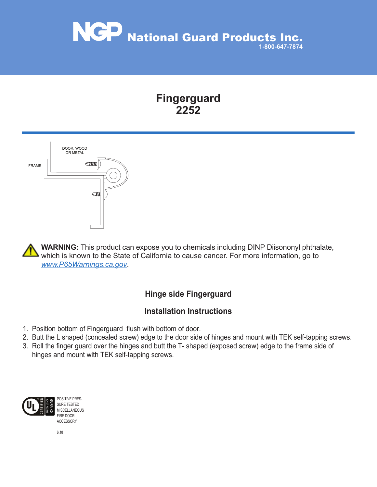

# **Fingerguard 2252**



**WARNING:** This product can expose you to chemicals including DINP Diisononyl phthalate, which is known to the State of California to cause cancer. For more information, go to *www.P65Warnings.ca.gov*.

## **Hinge side Fingerguard**

#### **Installation Instructions**

- 1. Position bottom of Fingerguard flush with bottom of door.
- 2. Butt the L shaped (concealed screw) edge to the door side of hinges and mount with TEK self-tapping screws.
- 3. Roll the finger guard over the hinges and butt the T- shaped (exposed screw) edge to the frame side of hinges and mount with TEK self-tapping screws.



POSITIVE PRES-SURE TESTED MISCELLANEOUS FIRE DOOR ACCESSORY

6.18